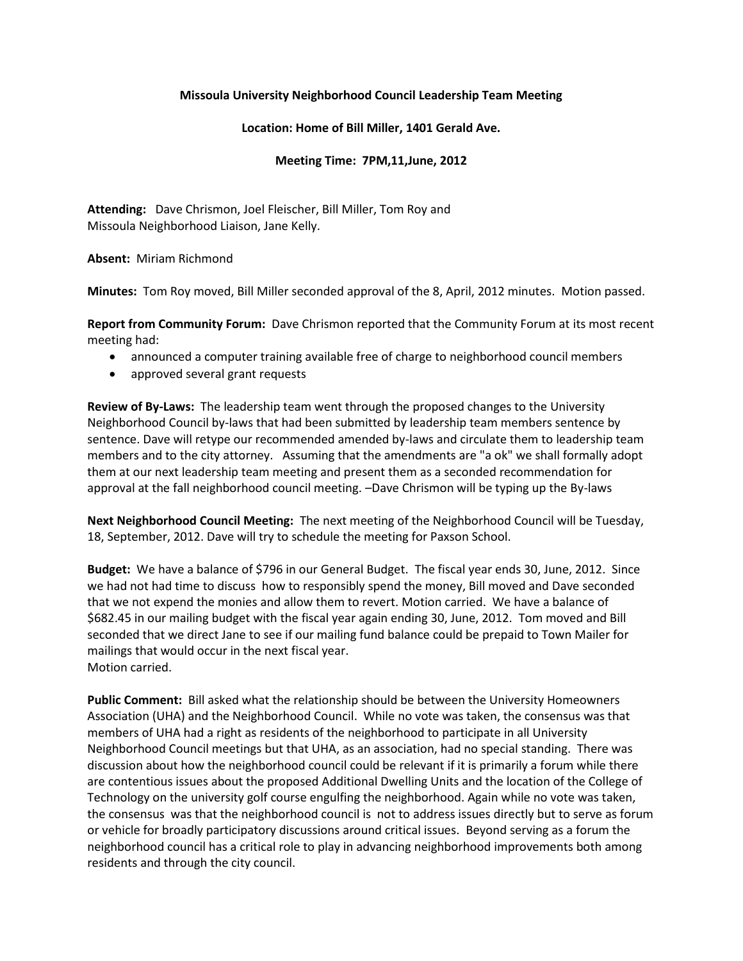## **Missoula University Neighborhood Council Leadership Team Meeting**

## **Location: Home of Bill Miller, 1401 Gerald Ave.**

## **Meeting Time: 7PM,11,June, 2012**

**Attending:** Dave Chrismon, Joel Fleischer, Bill Miller, Tom Roy and Missoula Neighborhood Liaison, Jane Kelly.

**Absent:** Miriam Richmond

**Minutes:** Tom Roy moved, Bill Miller seconded approval of the 8, April, 2012 minutes. Motion passed.

**Report from Community Forum:** Dave Chrismon reported that the Community Forum at its most recent meeting had:

- announced a computer training available free of charge to neighborhood council members
- approved several grant requests

**Review of By-Laws:** The leadership team went through the proposed changes to the University Neighborhood Council by-laws that had been submitted by leadership team members sentence by sentence. Dave will retype our recommended amended by-laws and circulate them to leadership team members and to the city attorney. Assuming that the amendments are "a ok" we shall formally adopt them at our next leadership team meeting and present them as a seconded recommendation for approval at the fall neighborhood council meeting. –Dave Chrismon will be typing up the By-laws

**Next Neighborhood Council Meeting:** The next meeting of the Neighborhood Council will be Tuesday, 18, September, 2012. Dave will try to schedule the meeting for Paxson School.

**Budget:** We have a balance of \$796 in our General Budget. The fiscal year ends 30, June, 2012. Since we had not had time to discuss how to responsibly spend the money, Bill moved and Dave seconded that we not expend the monies and allow them to revert. Motion carried. We have a balance of \$682.45 in our mailing budget with the fiscal year again ending 30, June, 2012. Tom moved and Bill seconded that we direct Jane to see if our mailing fund balance could be prepaid to Town Mailer for mailings that would occur in the next fiscal year. Motion carried.

**Public Comment:** Bill asked what the relationship should be between the University Homeowners Association (UHA) and the Neighborhood Council. While no vote was taken, the consensus was that members of UHA had a right as residents of the neighborhood to participate in all University Neighborhood Council meetings but that UHA, as an association, had no special standing. There was discussion about how the neighborhood council could be relevant if it is primarily a forum while there are contentious issues about the proposed Additional Dwelling Units and the location of the College of Technology on the university golf course engulfing the neighborhood. Again while no vote was taken, the consensus was that the neighborhood council is not to address issues directly but to serve as forum or vehicle for broadly participatory discussions around critical issues. Beyond serving as a forum the neighborhood council has a critical role to play in advancing neighborhood improvements both among residents and through the city council.